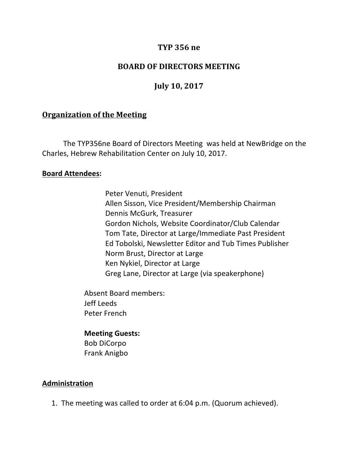## **TYP 356 ne**

## **BOARD OF DIRECTORS MEETING**

# **July 10, 2017**

### **Organization of the Meeting**

The TYP356ne Board of Directors Meeting was held at NewBridge on the Charles, Hebrew Rehabilitation Center on July 10, 2017.

#### **Board Attendees:**

Peter Venuti, President Allen Sisson, Vice President/Membership Chairman Dennis McGurk, Treasurer Gordon Nichols, Website Coordinator/Club Calendar Tom Tate, Director at Large/Immediate Past President Ed Tobolski, Newsletter Editor and Tub Times Publisher Norm Brust, Director at Large Ken Nykiel, Director at Large Greg Lane, Director at Large (via speakerphone)

Absent Board members: Jeff Leeds Peter French

# **Meeting Guests:**

Bob DiCorpo Frank Anigbo

### **Administration**

1. The meeting was called to order at 6:04 p.m. (Quorum achieved).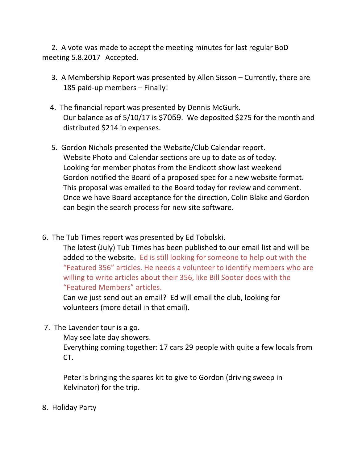2. A vote was made to accept the meeting minutes for last regular BoD meeting 5.8.2017 Accepted.

- 3. A Membership Report was presented by Allen Sisson Currently, there are 185 paid-up members  $-$  Finally!
- 4. The financial report was presented by Dennis McGurk. Our balance as of  $5/10/17$  is \$7059. We deposited \$275 for the month and distributed \$214 in expenses.
- 5. Gordon Nichols presented the Website/Club Calendar report. Website Photo and Calendar sections are up to date as of today. Looking for member photos from the Endicott show last weekend Gordon notified the Board of a proposed spec for a new website format. This proposal was emailed to the Board today for review and comment. Once we have Board acceptance for the direction, Colin Blake and Gordon can begin the search process for new site software.
- 6. The Tub Times report was presented by Ed Tobolski.

The latest (July) Tub Times has been published to our email list and will be added to the website. Ed is still looking for someone to help out with the "Featured 356" articles. He needs a volunteer to identify members who are willing to write articles about their 356, like Bill Sooter does with the "Featured Members" articles. 

Can we just send out an email? Ed will email the club, looking for volunteers (more detail in that email).

7. The Lavender tour is a go.

May see late day showers.

Everything coming together: 17 cars 29 people with quite a few locals from CT. 

Peter is bringing the spares kit to give to Gordon (driving sweep in Kelvinator) for the trip.

8. Holiday Party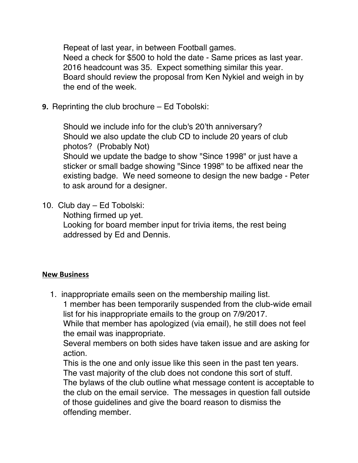Repeat of last year, in between Football games. Need a check for \$500 to hold the date - Same prices as last year. 2016 headcount was 35. Expect something similar this year. Board should review the proposal from Ken Nykiel and weigh in by the end of the week.

**9.** Reprinting the club brochure – Ed Tobolski:

Should we include info for the club's 20'th anniversary? Should we also update the club CD to include 20 years of club photos? (Probably Not) Should we update the badge to show "Since 1998" or just have a

sticker or small badge showing "Since 1998" to be affixed near the existing badge. We need someone to design the new badge - Peter to ask around for a designer.

10. Club day – Ed Tobolski:

Nothing firmed up yet.

Looking for board member input for trivia items, the rest being addressed by Ed and Dennis.

## **New Business**

1. inappropriate emails seen on the membership mailing list.

1 member has been temporarily suspended from the club-wide email list for his inappropriate emails to the group on 7/9/2017.

While that member has apologized (via email), he still does not feel the email was inappropriate.

Several members on both sides have taken issue and are asking for action.

This is the one and only issue like this seen in the past ten years. The vast majority of the club does not condone this sort of stuff. The bylaws of the club outline what message content is acceptable to the club on the email service. The messages in question fall outside of those guidelines and give the board reason to dismiss the offending member.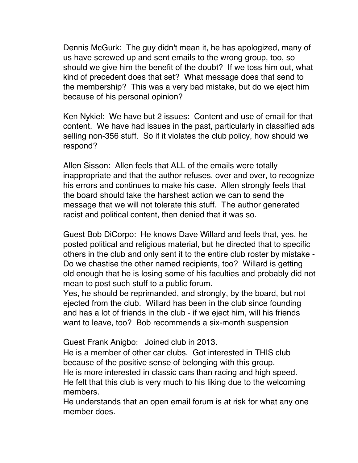Dennis McGurk: The guy didn't mean it, he has apologized, many of us have screwed up and sent emails to the wrong group, too, so should we give him the benefit of the doubt? If we toss him out, what kind of precedent does that set? What message does that send to the membership? This was a very bad mistake, but do we eject him because of his personal opinion?

Ken Nykiel: We have but 2 issues: Content and use of email for that content. We have had issues in the past, particularly in classified ads selling non-356 stuff. So if it violates the club policy, how should we respond?

Allen Sisson: Allen feels that ALL of the emails were totally inappropriate and that the author refuses, over and over, to recognize his errors and continues to make his case. Allen strongly feels that the board should take the harshest action we can to send the message that we will not tolerate this stuff. The author generated racist and political content, then denied that it was so.

Guest Bob DiCorpo: He knows Dave Willard and feels that, yes, he posted political and religious material, but he directed that to specific others in the club and only sent it to the entire club roster by mistake - Do we chastise the other named recipients, too? Willard is getting old enough that he is losing some of his faculties and probably did not mean to post such stuff to a public forum.

Yes, he should be reprimanded, and strongly, by the board, but not ejected from the club. Willard has been in the club since founding and has a lot of friends in the club - if we eject him, will his friends want to leave, too? Bob recommends a six-month suspension

Guest Frank Anigbo: Joined club in 2013.

He is a member of other car clubs. Got interested in THIS club because of the positive sense of belonging with this group. He is more interested in classic cars than racing and high speed. He felt that this club is very much to his liking due to the welcoming members.

He understands that an open email forum is at risk for what any one member does.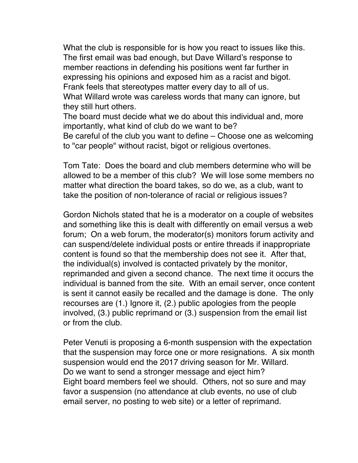What the club is responsible for is how you react to issues like this. The first email was bad enough, but Dave Willard's response to member reactions in defending his positions went far further in expressing his opinions and exposed him as a racist and bigot. Frank feels that stereotypes matter every day to all of us. What Willard wrote was careless words that many can ignore, but they still hurt others.

The board must decide what we do about this individual and, more importantly, what kind of club do we want to be? Be careful of the club you want to define – Choose one as welcoming to "car people" without racist, bigot or religious overtones.

Tom Tate: Does the board and club members determine who will be allowed to be a member of this club? We will lose some members no matter what direction the board takes, so do we, as a club, want to take the position of non-tolerance of racial or religious issues?

Gordon Nichols stated that he is a moderator on a couple of websites and something like this is dealt with differently on email versus a web forum; On a web forum, the moderator(s) monitors forum activity and can suspend/delete individual posts or entire threads if inappropriate content is found so that the membership does not see it. After that, the individual(s) involved is contacted privately by the monitor, reprimanded and given a second chance. The next time it occurs the individual is banned from the site. With an email server, once content is sent it cannot easily be recalled and the damage is done. The only recourses are (1.) Ignore it, (2.) public apologies from the people involved, (3.) public reprimand or (3.) suspension from the email list or from the club.

Peter Venuti is proposing a 6-month suspension with the expectation that the suspension may force one or more resignations. A six month suspension would end the 2017 driving season for Mr. Willard. Do we want to send a stronger message and eject him? Eight board members feel we should. Others, not so sure and may favor a suspension (no attendance at club events, no use of club email server, no posting to web site) or a letter of reprimand.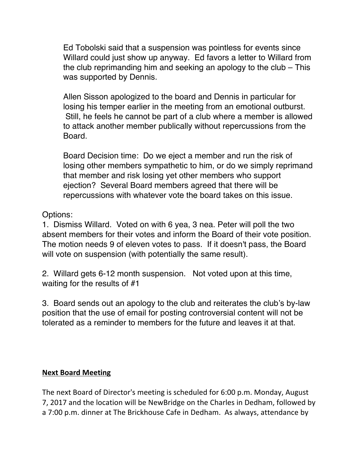Ed Tobolski said that a suspension was pointless for events since Willard could just show up anyway. Ed favors a letter to Willard from the club reprimanding him and seeking an apology to the club – This was supported by Dennis.

Allen Sisson apologized to the board and Dennis in particular for losing his temper earlier in the meeting from an emotional outburst. Still, he feels he cannot be part of a club where a member is allowed to attack another member publically without repercussions from the Board.

Board Decision time: Do we eject a member and run the risk of losing other members sympathetic to him, or do we simply reprimand that member and risk losing yet other members who support ejection? Several Board members agreed that there will be repercussions with whatever vote the board takes on this issue.

Options:

1. Dismiss Willard. Voted on with 6 yea, 3 nea. Peter will poll the two absent members for their votes and inform the Board of their vote position. The motion needs 9 of eleven votes to pass. If it doesn't pass, the Board will vote on suspension (with potentially the same result).

2. Willard gets 6-12 month suspension. Not voted upon at this time, waiting for the results of #1

3. Board sends out an apology to the club and reiterates the club's by-law position that the use of email for posting controversial content will not be tolerated as a reminder to members for the future and leaves it at that.

## **Next Board Meeting**

The next Board of Director's meeting is scheduled for 6:00 p.m. Monday, August 7, 2017 and the location will be NewBridge on the Charles in Dedham, followed by a 7:00 p.m. dinner at The Brickhouse Cafe in Dedham. As always, attendance by